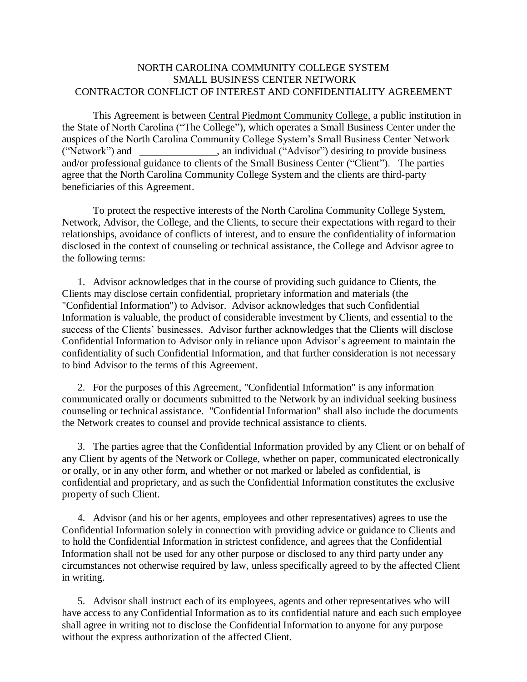## NORTH CAROLINA COMMUNITY COLLEGE SYSTEM SMALL BUSINESS CENTER NETWORK CONTRACTOR CONFLICT OF INTEREST AND CONFIDENTIALITY AGREEMENT

This Agreement is between Central Piedmont Community College, a public institution in the State of North Carolina ("The College"), which operates a Small Business Center under the auspices of the North Carolina Community College System's Small Business Center Network ("Network") and  $\frac{1}{\sqrt{2\pi}}$ , an individual ("Advisor") desiring to provide business and/or professional guidance to clients of the Small Business Center ("Client"). The parties agree that the North Carolina Community College System and the clients are third-party beneficiaries of this Agreement.

To protect the respective interests of the North Carolina Community College System, Network, Advisor, the College, and the Clients, to secure their expectations with regard to their relationships, avoidance of conflicts of interest, and to ensure the confidentiality of information disclosed in the context of counseling or technical assistance, the College and Advisor agree to the following terms:

1. Advisor acknowledges that in the course of providing such guidance to Clients, the Clients may disclose certain confidential, proprietary information and materials (the "Confidential Information") to Advisor. Advisor acknowledges that such Confidential Information is valuable, the product of considerable investment by Clients, and essential to the success of the Clients' businesses. Advisor further acknowledges that the Clients will disclose Confidential Information to Advisor only in reliance upon Advisor's agreement to maintain the confidentiality of such Confidential Information, and that further consideration is not necessary to bind Advisor to the terms of this Agreement.

2. For the purposes of this Agreement, "Confidential Information" is any information communicated orally or documents submitted to the Network by an individual seeking business counseling or technical assistance. "Confidential Information" shall also include the documents the Network creates to counsel and provide technical assistance to clients.

3. The parties agree that the Confidential Information provided by any Client or on behalf of any Client by agents of the Network or College, whether on paper, communicated electronically or orally, or in any other form, and whether or not marked or labeled as confidential, is confidential and proprietary, and as such the Confidential Information constitutes the exclusive property of such Client.

4. Advisor (and his or her agents, employees and other representatives) agrees to use the Confidential Information solely in connection with providing advice or guidance to Clients and to hold the Confidential Information in strictest confidence, and agrees that the Confidential Information shall not be used for any other purpose or disclosed to any third party under any circumstances not otherwise required by law, unless specifically agreed to by the affected Client in writing.

5. Advisor shall instruct each of its employees, agents and other representatives who will have access to any Confidential Information as to its confidential nature and each such employee shall agree in writing not to disclose the Confidential Information to anyone for any purpose without the express authorization of the affected Client.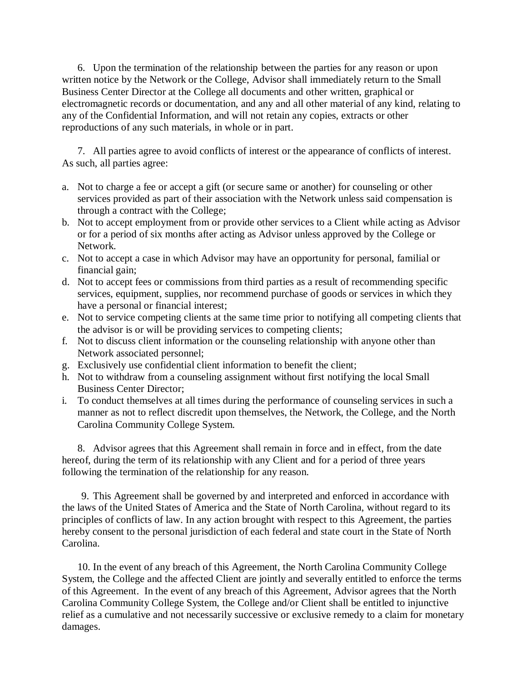6. Upon the termination of the relationship between the parties for any reason or upon written notice by the Network or the College, Advisor shall immediately return to the Small Business Center Director at the College all documents and other written, graphical or electromagnetic records or documentation, and any and all other material of any kind, relating to any of the Confidential Information, and will not retain any copies, extracts or other reproductions of any such materials, in whole or in part.

7. All parties agree to avoid conflicts of interest or the appearance of conflicts of interest. As such, all parties agree:

- a. Not to charge a fee or accept a gift (or secure same or another) for counseling or other services provided as part of their association with the Network unless said compensation is through a contract with the College;
- b. Not to accept employment from or provide other services to a Client while acting as Advisor or for a period of six months after acting as Advisor unless approved by the College or Network.
- c. Not to accept a case in which Advisor may have an opportunity for personal, familial or financial gain;
- d. Not to accept fees or commissions from third parties as a result of recommending specific services, equipment, supplies, nor recommend purchase of goods or services in which they have a personal or financial interest;
- e. Not to service competing clients at the same time prior to notifying all competing clients that the advisor is or will be providing services to competing clients;
- f. Not to discuss client information or the counseling relationship with anyone other than Network associated personnel;
- g. Exclusively use confidential client information to benefit the client;
- h. Not to withdraw from a counseling assignment without first notifying the local Small Business Center Director;
- i. To conduct themselves at all times during the performance of counseling services in such a manner as not to reflect discredit upon themselves, the Network, the College, and the North Carolina Community College System.

8. Advisor agrees that this Agreement shall remain in force and in effect, from the date hereof, during the term of its relationship with any Client and for a period of three years following the termination of the relationship for any reason.

9. This Agreement shall be governed by and interpreted and enforced in accordance with the laws of the United States of America and the State of North Carolina, without regard to its principles of conflicts of law. In any action brought with respect to this Agreement, the parties hereby consent to the personal jurisdiction of each federal and state court in the State of North Carolina.

10. In the event of any breach of this Agreement, the North Carolina Community College System, the College and the affected Client are jointly and severally entitled to enforce the terms of this Agreement. In the event of any breach of this Agreement, Advisor agrees that the North Carolina Community College System, the College and/or Client shall be entitled to injunctive relief as a cumulative and not necessarily successive or exclusive remedy to a claim for monetary damages.